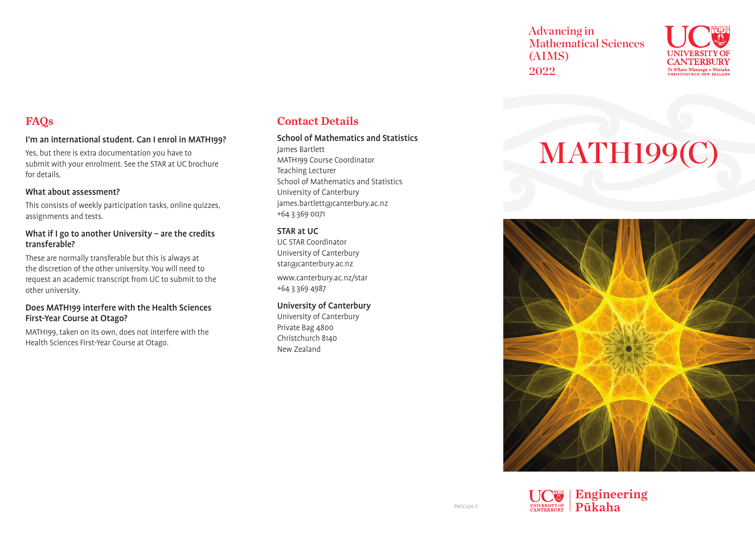Advancing in Mathematical Sciences (AIMS) 2022



## FAQs

### I'm an international student. Can I enrol in MATH199?

Yes, but there is extra documentation you have to submit with your enrolment. See the STAR at UC brochure for details.

### What about assessment?

This consists of weekly participation tasks, online quizzes, assignments and tests.

### What if I go to another University – are the credits transferable?

These are normally transferable but this is always at the discretion of the other university. You will need to request an academic transcript from UC to submit to the other university.

### Does MATH199 interfere with the Health Sciences First-Year Course at Otago?

MATH199, taken on its own, does not interfere with the Health Sciences First-Year Course at Otago.

### Contact Details

#### School of Mathematics and Statistics

James Bartlett MATH199 Course Coordinator Teaching Lecturer School of Mathematics and Statistics University of Canterbury james.bartlett@canterbury.ac.nz +64 3 369 0071

### STAR at UC

UC STAR Coordinator University of Canterbury star@canterbury.ac.nz www.canterbury.ac.nz/star +64 3 369 4987

### University of Canterbury

University of Canterbury Private Bag 4800 Christchurch 8140 New Zealand